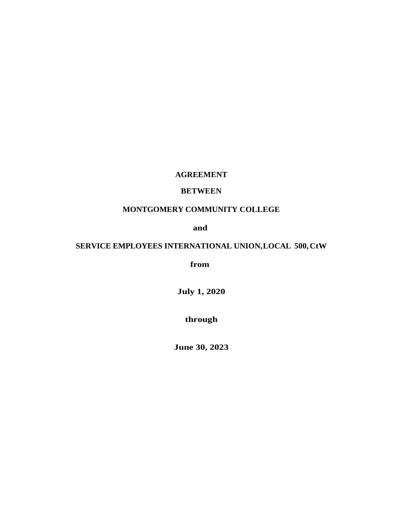## **AGREEMENT**

## **BETWEEN**

## **MONTGOMERY COMMUNITY COLLEGE**

**and**

# **SERVICE EMPLOYEES INTERNATIONAL UNION, LOCAL 500, CtW**

**from**

**July 1, 2020**

**through**

**June 30, 2023**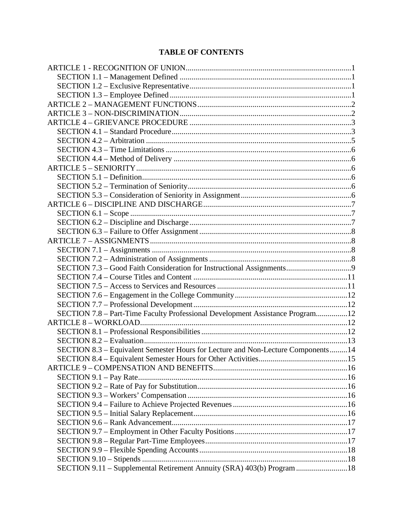# **TABLE OF CONTENTS**

| SECTION 7.8 - Part-Time Faculty Professional Development Assistance Program12    |  |
|----------------------------------------------------------------------------------|--|
|                                                                                  |  |
|                                                                                  |  |
|                                                                                  |  |
| SECTION 8.3 – Equivalent Semester Hours for Lecture and Non-Lecture Components14 |  |
|                                                                                  |  |
|                                                                                  |  |
|                                                                                  |  |
|                                                                                  |  |
|                                                                                  |  |
|                                                                                  |  |
|                                                                                  |  |
|                                                                                  |  |
|                                                                                  |  |
|                                                                                  |  |
|                                                                                  |  |
|                                                                                  |  |
| SECTION 9.11 - Supplemental Retirement Annuity (SRA) 403(b) Program 18           |  |
|                                                                                  |  |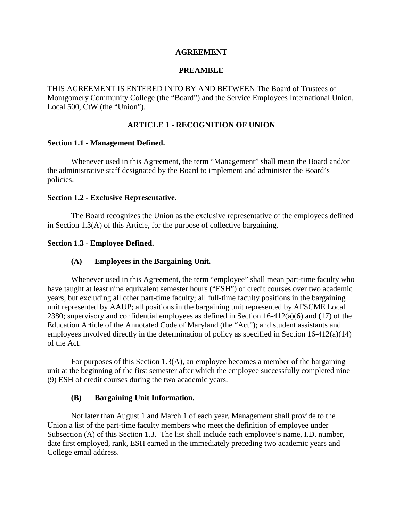### **AGREEMENT**

### **PREAMBLE**

THIS AGREEMENT IS ENTERED INTO BY AND BETWEEN The Board of Trustees of Montgomery Community College (the "Board") and the Service Employees International Union, Local 500, CtW (the "Union").

## **ARTICLE 1 - RECOGNITION OF UNION**

### **Section 1.1 - Management Defined.**

Whenever used in this Agreement, the term "Management" shall mean the Board and/or the administrative staff designated by the Board to implement and administer the Board's policies.

#### **Section 1.2 - Exclusive Representative.**

The Board recognizes the Union as the exclusive representative of the employees defined in Section 1.3(A) of this Article, for the purpose of collective bargaining.

### **Section 1.3 - Employee Defined.**

### **(A) Employees in the Bargaining Unit.**

Whenever used in this Agreement, the term "employee" shall mean part-time faculty who have taught at least nine equivalent semester hours ("ESH") of credit courses over two academic years, but excluding all other part-time faculty; all full-time faculty positions in the bargaining unit represented by AAUP; all positions in the bargaining unit represented by AFSCME Local 2380; supervisory and confidential employees as defined in Section 16-412(a)(6) and (17) of the Education Article of the Annotated Code of Maryland (the "Act"); and student assistants and employees involved directly in the determination of policy as specified in Section 16-412(a)(14) of the Act.

For purposes of this Section 1.3(A), an employee becomes a member of the bargaining unit at the beginning of the first semester after which the employee successfully completed nine (9) ESH of credit courses during the two academic years.

### **(B) Bargaining Unit Information.**

Not later than August 1 and March 1 of each year, Management shall provide to the Union a list of the part-time faculty members who meet the definition of employee under Subsection (A) of this Section 1.3. The list shall include each employee's name, I.D. number, date first employed, rank, ESH earned in the immediately preceding two academic years and College email address.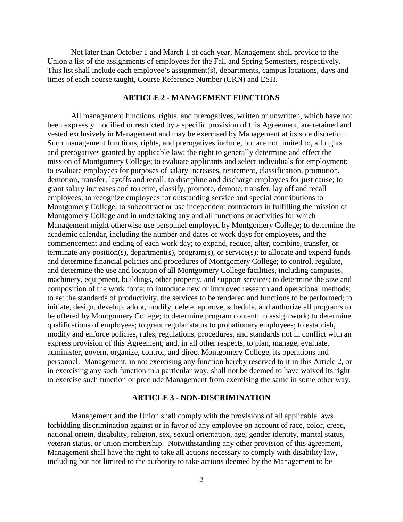Not later than October 1 and March 1 of each year, Management shall provide to the Union a list of the assignments of employees for the Fall and Spring Semesters, respectively. This list shall include each employee's assignment(s), departments, campus locations, days and times of each course taught, Course Reference Number (CRN) and ESH.

### **ARTICLE 2 - MANAGEMENT FUNCTIONS**

All management functions, rights, and prerogatives, written or unwritten, which have not been expressly modified or restricted by a specific provision of this Agreement, are retained and vested exclusively in Management and may be exercised by Management at its sole discretion. Such management functions, rights, and prerogatives include, but are not limited to, all rights and prerogatives granted by applicable law; the right to generally determine and effect the mission of Montgomery College; to evaluate applicants and select individuals for employment; to evaluate employees for purposes of salary increases, retirement, classification, promotion, demotion, transfer, layoffs and recall; to discipline and discharge employees for just cause; to grant salary increases and to retire, classify, promote, demote, transfer, lay off and recall employees; to recognize employees for outstanding service and special contributions to Montgomery College; to subcontract or use independent contractors in fulfilling the mission of Montgomery College and in undertaking any and all functions or activities for which Management might otherwise use personnel employed by Montgomery College; to determine the academic calendar, including the number and dates of work days for employees, and the commencement and ending of each work day; to expand, reduce, alter, combine, transfer, or terminate any position(s), department(s), program(s), or service(s); to allocate and expend funds and determine financial policies and procedures of Montgomery College; to control, regulate, and determine the use and location of all Montgomery College facilities, including campuses, machinery, equipment, buildings, other property, and support services; to determine the size and composition of the work force; to introduce new or improved research and operational methods; to set the standards of productivity, the services to be rendered and functions to be performed; to initiate, design, develop, adopt, modify, delete, approve, schedule, and authorize all programs to be offered by Montgomery College; to determine program content; to assign work; to determine qualifications of employees; to grant regular status to probationary employees; to establish, modify and enforce policies, rules, regulations, procedures, and standards not in conflict with an express provision of this Agreement; and, in all other respects, to plan, manage, evaluate, administer, govern, organize, control, and direct Montgomery College, its operations and personnel. Management, in not exercising any function hereby reserved to it in this Article 2, or in exercising any such function in a particular way, shall not be deemed to have waived its right to exercise such function or preclude Management from exercising the same in some other way.

#### **ARTICLE 3 - NON-DISCRIMINATION**

Management and the Union shall comply with the provisions of all applicable laws forbidding discrimination against or in favor of any employee on account of race, color, creed, national origin, disability, religion, sex, sexual orientation, age, gender identity, marital status, veteran status, or union membership. Notwithstanding any other provision of this agreement, Management shall have the right to take all actions necessary to comply with disability law, including but not limited to the authority to take actions deemed by the Management to be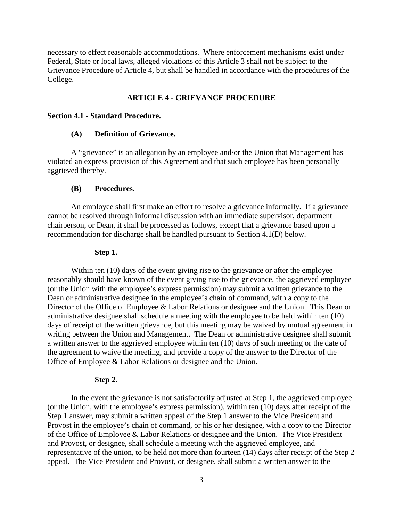necessary to effect reasonable accommodations. Where enforcement mechanisms exist under Federal, State or local laws, alleged violations of this Article 3 shall not be subject to the Grievance Procedure of Article 4, but shall be handled in accordance with the procedures of the College.

### **ARTICLE 4 - GRIEVANCE PROCEDURE**

### **Section 4.1 - Standard Procedure.**

#### **(A) Definition of Grievance.**

A "grievance" is an allegation by an employee and/or the Union that Management has violated an express provision of this Agreement and that such employee has been personally aggrieved thereby.

#### **(B) Procedures.**

An employee shall first make an effort to resolve a grievance informally. If a grievance cannot be resolved through informal discussion with an immediate supervisor, department chairperson, or Dean, it shall be processed as follows, except that a grievance based upon a recommendation for discharge shall be handled pursuant to Section 4.1(D) below.

#### **Step 1.**

Within ten (10) days of the event giving rise to the grievance or after the employee reasonably should have known of the event giving rise to the grievance, the aggrieved employee (or the Union with the employee's express permission) may submit a written grievance to the Dean or administrative designee in the employee's chain of command, with a copy to the Director of the Office of Employee & Labor Relations or designee and the Union. This Dean or administrative designee shall schedule a meeting with the employee to be held within ten (10) days of receipt of the written grievance, but this meeting may be waived by mutual agreement in writing between the Union and Management. The Dean or administrative designee shall submit a written answer to the aggrieved employee within ten (10) days of such meeting or the date of the agreement to waive the meeting, and provide a copy of the answer to the Director of the Office of Employee & Labor Relations or designee and the Union.

#### **Step 2.**

In the event the grievance is not satisfactorily adjusted at Step 1, the aggrieved employee (or the Union, with the employee's express permission), within ten (10) days after receipt of the Step 1 answer, may submit a written appeal of the Step 1 answer to the Vice President and Provost in the employee's chain of command, or his or her designee, with a copy to the Director of the Office of Employee & Labor Relations or designee and the Union. The Vice President and Provost, or designee, shall schedule a meeting with the aggrieved employee, and representative of the union, to be held not more than fourteen (14) days after receipt of the Step 2 appeal. The Vice President and Provost, or designee, shall submit a written answer to the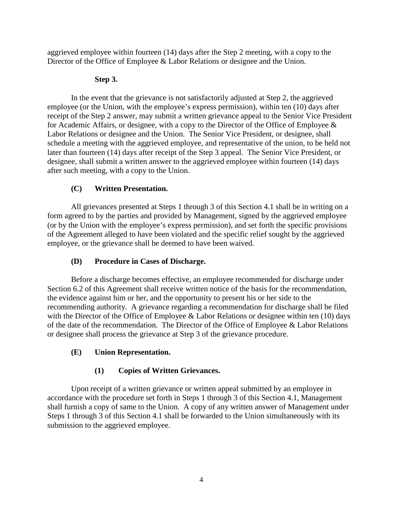aggrieved employee within fourteen (14) days after the Step 2 meeting, with a copy to the Director of the Office of Employee & Labor Relations or designee and the Union.

## **Step 3.**

In the event that the grievance is not satisfactorily adjusted at Step 2, the aggrieved employee (or the Union, with the employee's express permission), within ten (10) days after receipt of the Step 2 answer, may submit a written grievance appeal to the Senior Vice President for Academic Affairs, or designee, with a copy to the Director of the Office of Employee & Labor Relations or designee and the Union. The Senior Vice President, or designee, shall schedule a meeting with the aggrieved employee, and representative of the union, to be held not later than fourteen (14) days after receipt of the Step 3 appeal. The Senior Vice President, or designee, shall submit a written answer to the aggrieved employee within fourteen (14) days after such meeting, with a copy to the Union.

## **(C) Written Presentation.**

All grievances presented at Steps 1 through 3 of this Section 4.1 shall be in writing on a form agreed to by the parties and provided by Management, signed by the aggrieved employee (or by the Union with the employee's express permission), and set forth the specific provisions of the Agreement alleged to have been violated and the specific relief sought by the aggrieved employee, or the grievance shall be deemed to have been waived.

## **(D) Procedure in Cases of Discharge.**

Before a discharge becomes effective, an employee recommended for discharge under Section 6.2 of this Agreement shall receive written notice of the basis for the recommendation, the evidence against him or her, and the opportunity to present his or her side to the recommending authority. A grievance regarding a recommendation for discharge shall be filed with the Director of the Office of Employee  $\&$  Labor Relations or designee within ten (10) days of the date of the recommendation. The Director of the Office of Employee & Labor Relations or designee shall process the grievance at Step 3 of the grievance procedure.

## **(E) Union Representation.**

# **(1) Copies of Written Grievances.**

Upon receipt of a written grievance or written appeal submitted by an employee in accordance with the procedure set forth in Steps 1 through 3 of this Section 4.1, Management shall furnish a copy of same to the Union. A copy of any written answer of Management under Steps 1 through 3 of this Section 4.1 shall be forwarded to the Union simultaneously with its submission to the aggrieved employee.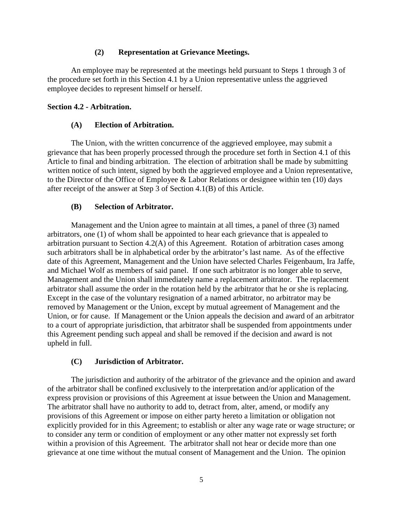### **(2) Representation at Grievance Meetings.**

An employee may be represented at the meetings held pursuant to Steps 1 through 3 of the procedure set forth in this Section 4.1 by a Union representative unless the aggrieved employee decides to represent himself or herself.

## **Section 4.2 - Arbitration.**

## **(A) Election of Arbitration.**

The Union, with the written concurrence of the aggrieved employee, may submit a grievance that has been properly processed through the procedure set forth in Section 4.1 of this Article to final and binding arbitration. The election of arbitration shall be made by submitting written notice of such intent, signed by both the aggrieved employee and a Union representative, to the Director of the Office of Employee & Labor Relations or designee within ten (10) days after receipt of the answer at Step 3 of Section 4.1(B) of this Article.

## **(B) Selection of Arbitrator.**

Management and the Union agree to maintain at all times, a panel of three (3) named arbitrators, one (1) of whom shall be appointed to hear each grievance that is appealed to arbitration pursuant to Section 4.2(A) of this Agreement. Rotation of arbitration cases among such arbitrators shall be in alphabetical order by the arbitrator's last name. As of the effective date of this Agreement, Management and the Union have selected Charles Feigenbaum, Ira Jaffe, and Michael Wolf as members of said panel. If one such arbitrator is no longer able to serve, Management and the Union shall immediately name a replacement arbitrator. The replacement arbitrator shall assume the order in the rotation held by the arbitrator that he or she is replacing. Except in the case of the voluntary resignation of a named arbitrator, no arbitrator may be removed by Management or the Union, except by mutual agreement of Management and the Union, or for cause. If Management or the Union appeals the decision and award of an arbitrator to a court of appropriate jurisdiction, that arbitrator shall be suspended from appointments under this Agreement pending such appeal and shall be removed if the decision and award is not upheld in full.

## **(C) Jurisdiction of Arbitrator.**

The jurisdiction and authority of the arbitrator of the grievance and the opinion and award of the arbitrator shall be confined exclusively to the interpretation and/or application of the express provision or provisions of this Agreement at issue between the Union and Management. The arbitrator shall have no authority to add to, detract from, alter, amend, or modify any provisions of this Agreement or impose on either party hereto a limitation or obligation not explicitly provided for in this Agreement; to establish or alter any wage rate or wage structure; or to consider any term or condition of employment or any other matter not expressly set forth within a provision of this Agreement. The arbitrator shall not hear or decide more than one grievance at one time without the mutual consent of Management and the Union. The opinion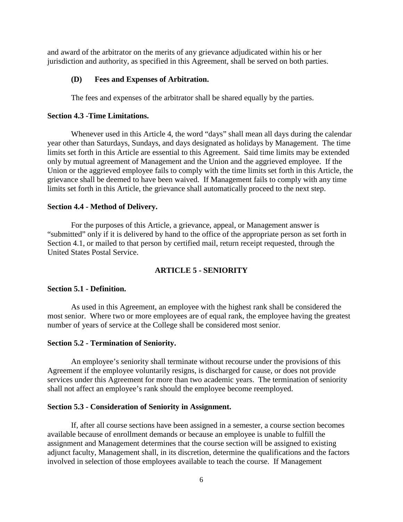and award of the arbitrator on the merits of any grievance adjudicated within his or her jurisdiction and authority, as specified in this Agreement, shall be served on both parties.

### **(D) Fees and Expenses of Arbitration.**

The fees and expenses of the arbitrator shall be shared equally by the parties.

### **Section 4.3 -Time Limitations.**

Whenever used in this Article 4, the word "days" shall mean all days during the calendar year other than Saturdays, Sundays, and days designated as holidays by Management. The time limits set forth in this Article are essential to this Agreement. Said time limits may be extended only by mutual agreement of Management and the Union and the aggrieved employee. If the Union or the aggrieved employee fails to comply with the time limits set forth in this Article, the grievance shall be deemed to have been waived. If Management fails to comply with any time limits set forth in this Article, the grievance shall automatically proceed to the next step.

#### **Section 4.4 - Method of Delivery.**

For the purposes of this Article, a grievance, appeal, or Management answer is "submitted" only if it is delivered by hand to the office of the appropriate person as set forth in Section 4.1, or mailed to that person by certified mail, return receipt requested, through the United States Postal Service.

### **ARTICLE 5 - SENIORITY**

#### **Section 5.1 - Definition.**

As used in this Agreement, an employee with the highest rank shall be considered the most senior. Where two or more employees are of equal rank, the employee having the greatest number of years of service at the College shall be considered most senior.

#### **Section 5.2 - Termination of Seniority.**

An employee's seniority shall terminate without recourse under the provisions of this Agreement if the employee voluntarily resigns, is discharged for cause, or does not provide services under this Agreement for more than two academic years. The termination of seniority shall not affect an employee's rank should the employee become reemployed.

#### **Section 5.3 - Consideration of Seniority in Assignment.**

If, after all course sections have been assigned in a semester, a course section becomes available because of enrollment demands or because an employee is unable to fulfill the assignment and Management determines that the course section will be assigned to existing adjunct faculty, Management shall, in its discretion, determine the qualifications and the factors involved in selection of those employees available to teach the course. If Management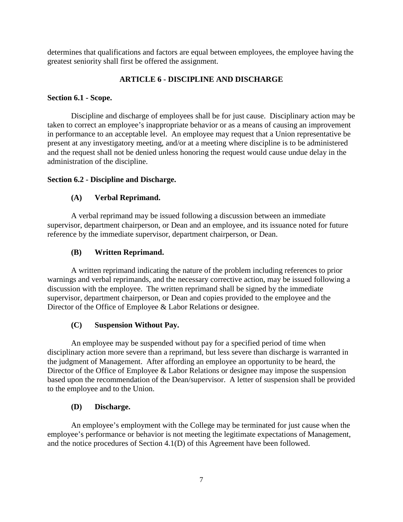determines that qualifications and factors are equal between employees, the employee having the greatest seniority shall first be offered the assignment.

## **ARTICLE 6 - DISCIPLINE AND DISCHARGE**

## **Section 6.1 - Scope.**

Discipline and discharge of employees shall be for just cause. Disciplinary action may be taken to correct an employee's inappropriate behavior or as a means of causing an improvement in performance to an acceptable level. An employee may request that a Union representative be present at any investigatory meeting, and/or at a meeting where discipline is to be administered and the request shall not be denied unless honoring the request would cause undue delay in the administration of the discipline.

## **Section 6.2 - Discipline and Discharge.**

## **(A) Verbal Reprimand.**

A verbal reprimand may be issued following a discussion between an immediate supervisor, department chairperson, or Dean and an employee, and its issuance noted for future reference by the immediate supervisor, department chairperson, or Dean.

## **(B) Written Reprimand.**

A written reprimand indicating the nature of the problem including references to prior warnings and verbal reprimands, and the necessary corrective action, may be issued following a discussion with the employee. The written reprimand shall be signed by the immediate supervisor, department chairperson, or Dean and copies provided to the employee and the Director of the Office of Employee & Labor Relations or designee.

## **(C) Suspension Without Pay.**

An employee may be suspended without pay for a specified period of time when disciplinary action more severe than a reprimand, but less severe than discharge is warranted in the judgment of Management. After affording an employee an opportunity to be heard, the Director of the Office of Employee & Labor Relations or designee may impose the suspension based upon the recommendation of the Dean/supervisor. A letter of suspension shall be provided to the employee and to the Union.

## **(D) Discharge.**

An employee's employment with the College may be terminated for just cause when the employee's performance or behavior is not meeting the legitimate expectations of Management, and the notice procedures of Section 4.1(D) of this Agreement have been followed.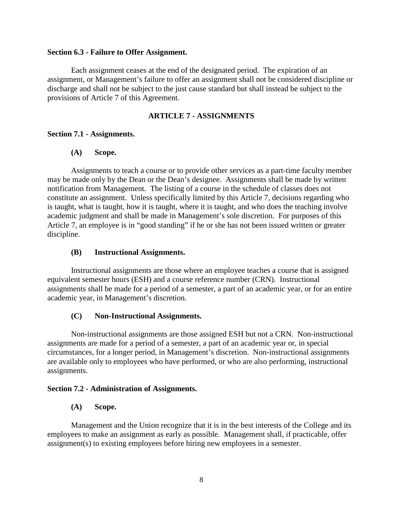#### **Section 6.3 - Failure to Offer Assignment.**

Each assignment ceases at the end of the designated period. The expiration of an assignment, or Management's failure to offer an assignment shall not be considered discipline or discharge and shall not be subject to the just cause standard but shall instead be subject to the provisions of Article 7 of this Agreement.

## **ARTICLE 7 - ASSIGNMENTS**

### **Section 7.1 - Assignments.**

### **(A) Scope.**

Assignments to teach a course or to provide other services as a part-time faculty member may be made only by the Dean or the Dean's designee. Assignments shall be made by written notification from Management. The listing of a course in the schedule of classes does not constitute an assignment. Unless specifically limited by this Article 7, decisions regarding who is taught, what is taught, how it is taught, where it is taught, and who does the teaching involve academic judgment and shall be made in Management's sole discretion. For purposes of this Article 7, an employee is in "good standing" if he or she has not been issued written or greater discipline.

#### **(B) Instructional Assignments.**

Instructional assignments are those where an employee teaches a course that is assigned equivalent semester hours (ESH) and a course reference number (CRN). Instructional assignments shall be made for a period of a semester, a part of an academic year, or for an entire academic year, in Management's discretion.

### **(C) Non-Instructional Assignments.**

Non-instructional assignments are those assigned ESH but not a CRN. Non-instructional assignments are made for a period of a semester, a part of an academic year or, in special circumstances, for a longer period, in Management's discretion. Non-instructional assignments are available only to employees who have performed, or who are also performing, instructional assignments.

#### **Section 7.2 - Administration of Assignments.**

### **(A) Scope.**

Management and the Union recognize that it is in the best interests of the College and its employees to make an assignment as early as possible. Management shall, if practicable, offer assignment(s) to existing employees before hiring new employees in a semester.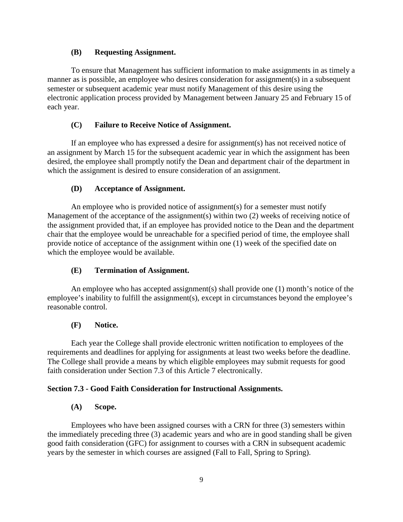### **(B) Requesting Assignment.**

To ensure that Management has sufficient information to make assignments in as timely a manner as is possible, an employee who desires consideration for assignment(s) in a subsequent semester or subsequent academic year must notify Management of this desire using the electronic application process provided by Management between January 25 and February 15 of each year.

## **(C) Failure to Receive Notice of Assignment.**

If an employee who has expressed a desire for assignment(s) has not received notice of an assignment by March 15 for the subsequent academic year in which the assignment has been desired, the employee shall promptly notify the Dean and department chair of the department in which the assignment is desired to ensure consideration of an assignment.

## **(D) Acceptance of Assignment.**

An employee who is provided notice of assignment(s) for a semester must notify Management of the acceptance of the assignment(s) within two (2) weeks of receiving notice of the assignment provided that, if an employee has provided notice to the Dean and the department chair that the employee would be unreachable for a specified period of time, the employee shall provide notice of acceptance of the assignment within one (1) week of the specified date on which the employee would be available.

## **(E) Termination of Assignment.**

An employee who has accepted assignment(s) shall provide one (1) month's notice of the employee's inability to fulfill the assignment(s), except in circumstances beyond the employee's reasonable control.

## **(F) Notice.**

Each year the College shall provide electronic written notification to employees of the requirements and deadlines for applying for assignments at least two weeks before the deadline. The College shall provide a means by which eligible employees may submit requests for good faith consideration under Section 7.3 of this Article 7 electronically.

## **Section 7.3 - Good Faith Consideration for Instructional Assignments.**

## **(A) Scope.**

Employees who have been assigned courses with a CRN for three (3) semesters within the immediately preceding three (3) academic years and who are in good standing shall be given good faith consideration (GFC) for assignment to courses with a CRN in subsequent academic years by the semester in which courses are assigned (Fall to Fall, Spring to Spring).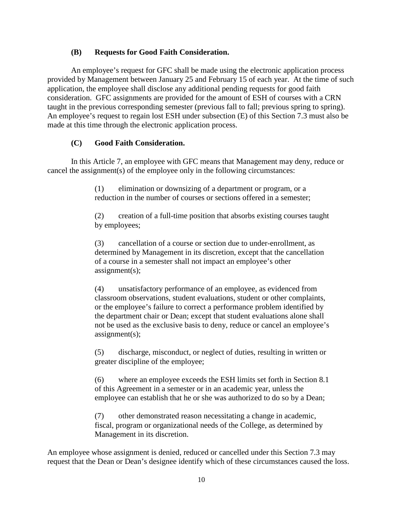### **(B) Requests for Good Faith Consideration.**

An employee's request for GFC shall be made using the electronic application process provided by Management between January 25 and February 15 of each year. At the time of such application, the employee shall disclose any additional pending requests for good faith consideration. GFC assignments are provided for the amount of ESH of courses with a CRN taught in the previous corresponding semester (previous fall to fall; previous spring to spring). An employee's request to regain lost ESH under subsection (E) of this Section 7.3 must also be made at this time through the electronic application process.

### **(C) Good Faith Consideration.**

In this Article 7, an employee with GFC means that Management may deny, reduce or cancel the assignment(s) of the employee only in the following circumstances:

> (1) elimination or downsizing of a department or program, or a reduction in the number of courses or sections offered in a semester;

(2) creation of a full-time position that absorbs existing courses taught by employees;

(3) cancellation of a course or section due to under-enrollment, as determined by Management in its discretion, except that the cancellation of a course in a semester shall not impact an employee's other assignment(s);

(4) unsatisfactory performance of an employee, as evidenced from classroom observations, student evaluations, student or other complaints, or the employee's failure to correct a performance problem identified by the department chair or Dean; except that student evaluations alone shall not be used as the exclusive basis to deny, reduce or cancel an employee's assignment(s);

(5) discharge, misconduct, or neglect of duties, resulting in written or greater discipline of the employee;

(6) where an employee exceeds the ESH limits set forth in Section 8.1 of this Agreement in a semester or in an academic year, unless the employee can establish that he or she was authorized to do so by a Dean;

(7) other demonstrated reason necessitating a change in academic, fiscal, program or organizational needs of the College, as determined by Management in its discretion.

An employee whose assignment is denied, reduced or cancelled under this Section 7.3 may request that the Dean or Dean's designee identify which of these circumstances caused the loss.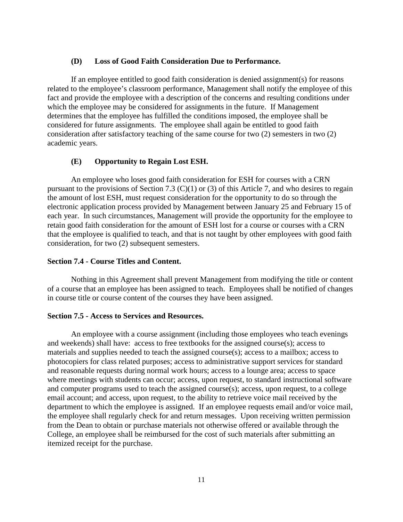### **(D) Loss of Good Faith Consideration Due to Performance.**

If an employee entitled to good faith consideration is denied assignment(s) for reasons related to the employee's classroom performance, Management shall notify the employee of this fact and provide the employee with a description of the concerns and resulting conditions under which the employee may be considered for assignments in the future. If Management determines that the employee has fulfilled the conditions imposed, the employee shall be considered for future assignments. The employee shall again be entitled to good faith consideration after satisfactory teaching of the same course for two (2) semesters in two (2) academic years.

### **(E) Opportunity to Regain Lost ESH.**

An employee who loses good faith consideration for ESH for courses with a CRN pursuant to the provisions of Section 7.3 (C)(1) or (3) of this Article 7, and who desires to regain the amount of lost ESH, must request consideration for the opportunity to do so through the electronic application process provided by Management between January 25 and February 15 of each year. In such circumstances, Management will provide the opportunity for the employee to retain good faith consideration for the amount of ESH lost for a course or courses with a CRN that the employee is qualified to teach, and that is not taught by other employees with good faith consideration, for two (2) subsequent semesters.

### **Section 7.4 - Course Titles and Content.**

Nothing in this Agreement shall prevent Management from modifying the title or content of a course that an employee has been assigned to teach. Employees shall be notified of changes in course title or course content of the courses they have been assigned.

## **Section 7.5 - Access to Services and Resources.**

An employee with a course assignment (including those employees who teach evenings and weekends) shall have: access to free textbooks for the assigned course(s); access to materials and supplies needed to teach the assigned course(s); access to a mailbox; access to photocopiers for class related purposes; access to administrative support services for standard and reasonable requests during normal work hours; access to a lounge area; access to space where meetings with students can occur; access, upon request, to standard instructional software and computer programs used to teach the assigned course(s); access, upon request, to a college email account; and access, upon request, to the ability to retrieve voice mail received by the department to which the employee is assigned. If an employee requests email and/or voice mail, the employee shall regularly check for and return messages. Upon receiving written permission from the Dean to obtain or purchase materials not otherwise offered or available through the College, an employee shall be reimbursed for the cost of such materials after submitting an itemized receipt for the purchase.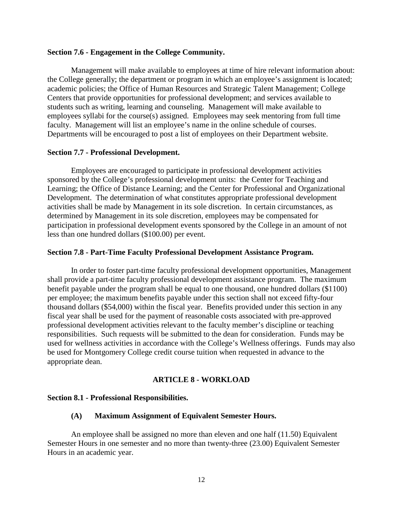#### **Section 7.6 - Engagement in the College Community.**

Management will make available to employees at time of hire relevant information about: the College generally; the department or program in which an employee's assignment is located; academic policies; the Office of Human Resources and Strategic Talent Management; College Centers that provide opportunities for professional development; and services available to students such as writing, learning and counseling. Management will make available to employees syllabi for the course(s) assigned. Employees may seek mentoring from full time faculty. Management will list an employee's name in the online schedule of courses. Departments will be encouraged to post a list of employees on their Department website.

#### **Section 7.7 - Professional Development.**

Employees are encouraged to participate in professional development activities sponsored by the College's professional development units: the Center for Teaching and Learning; the Office of Distance Learning; and the Center for Professional and Organizational Development. The determination of what constitutes appropriate professional development activities shall be made by Management in its sole discretion. In certain circumstances, as determined by Management in its sole discretion, employees may be compensated for participation in professional development events sponsored by the College in an amount of not less than one hundred dollars (\$100.00) per event.

#### **Section 7.8 - Part-Time Faculty Professional Development Assistance Program.**

In order to foster part-time faculty professional development opportunities, Management shall provide a part-time faculty professional development assistance program. The maximum benefit payable under the program shall be equal to one thousand, one hundred dollars (\$1100) per employee; the maximum benefits payable under this section shall not exceed fifty-four thousand dollars (\$54,000) within the fiscal year. Benefits provided under this section in any fiscal year shall be used for the payment of reasonable costs associated with pre-approved professional development activities relevant to the faculty member's discipline or teaching responsibilities. Such requests will be submitted to the dean for consideration. Funds may be used for wellness activities in accordance with the College's Wellness offerings. Funds may also be used for Montgomery College credit course tuition when requested in advance to the appropriate dean.

#### **ARTICLE 8 - WORKLOAD**

#### **Section 8.1 - Professional Responsibilities.**

#### **(A) Maximum Assignment of Equivalent Semester Hours.**

An employee shall be assigned no more than eleven and one half (11.50) Equivalent Semester Hours in one semester and no more than twenty-three (23.00) Equivalent Semester Hours in an academic year.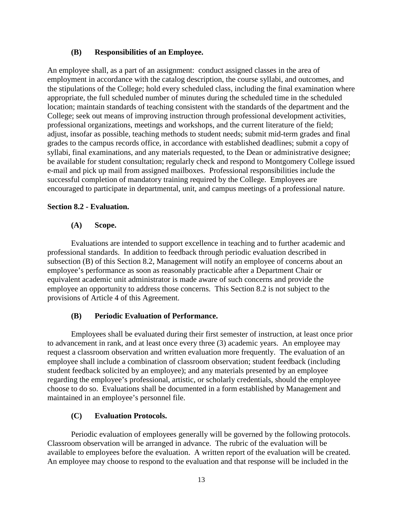### **(B) Responsibilities of an Employee.**

An employee shall, as a part of an assignment: conduct assigned classes in the area of employment in accordance with the catalog description, the course syllabi, and outcomes, and the stipulations of the College; hold every scheduled class, including the final examination where appropriate, the full scheduled number of minutes during the scheduled time in the scheduled location; maintain standards of teaching consistent with the standards of the department and the College; seek out means of improving instruction through professional development activities, professional organizations, meetings and workshops, and the current literature of the field; adjust, insofar as possible, teaching methods to student needs; submit mid-term grades and final grades to the campus records office, in accordance with established deadlines; submit a copy of syllabi, final examinations, and any materials requested, to the Dean or administrative designee; be available for student consultation; regularly check and respond to Montgomery College issued e-mail and pick up mail from assigned mailboxes. Professional responsibilities include the successful completion of mandatory training required by the College. Employees are encouraged to participate in departmental, unit, and campus meetings of a professional nature.

### **Section 8.2 - Evaluation.**

### **(A) Scope.**

Evaluations are intended to support excellence in teaching and to further academic and professional standards. In addition to feedback through periodic evaluation described in subsection (B) of this Section 8.2, Management will notify an employee of concerns about an employee's performance as soon as reasonably practicable after a Department Chair or equivalent academic unit administrator is made aware of such concerns and provide the employee an opportunity to address those concerns. This Section 8.2 is not subject to the provisions of Article 4 of this Agreement.

## **(B) Periodic Evaluation of Performance.**

Employees shall be evaluated during their first semester of instruction, at least once prior to advancement in rank, and at least once every three (3) academic years. An employee may request a classroom observation and written evaluation more frequently. The evaluation of an employee shall include a combination of classroom observation; student feedback (including student feedback solicited by an employee); and any materials presented by an employee regarding the employee's professional, artistic, or scholarly credentials, should the employee choose to do so. Evaluations shall be documented in a form established by Management and maintained in an employee's personnel file.

### **(C) Evaluation Protocols.**

Periodic evaluation of employees generally will be governed by the following protocols. Classroom observation will be arranged in advance. The rubric of the evaluation will be available to employees before the evaluation. A written report of the evaluation will be created. An employee may choose to respond to the evaluation and that response will be included in the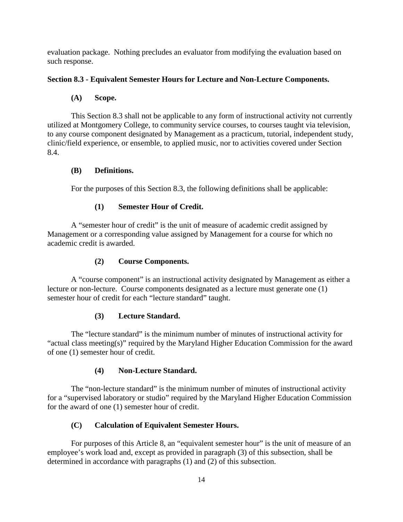evaluation package. Nothing precludes an evaluator from modifying the evaluation based on such response.

## **Section 8.3 - Equivalent Semester Hours for Lecture and Non-Lecture Components.**

## **(A) Scope.**

This Section 8.3 shall not be applicable to any form of instructional activity not currently utilized at Montgomery College, to community service courses, to courses taught via television, to any course component designated by Management as a practicum, tutorial, independent study, clinic/field experience, or ensemble, to applied music, nor to activities covered under Section 8.4.

## **(B) Definitions.**

For the purposes of this Section 8.3, the following definitions shall be applicable:

## **(1) Semester Hour of Credit.**

A "semester hour of credit" is the unit of measure of academic credit assigned by Management or a corresponding value assigned by Management for a course for which no academic credit is awarded.

## **(2) Course Components.**

A "course component" is an instructional activity designated by Management as either a lecture or non-lecture. Course components designated as a lecture must generate one (1) semester hour of credit for each "lecture standard" taught.

## **(3) Lecture Standard.**

The "lecture standard" is the minimum number of minutes of instructional activity for "actual class meeting(s)" required by the Maryland Higher Education Commission for the award of one (1) semester hour of credit.

## **(4) Non-Lecture Standard.**

The "non-lecture standard" is the minimum number of minutes of instructional activity for a "supervised laboratory or studio" required by the Maryland Higher Education Commission for the award of one (1) semester hour of credit.

## **(C) Calculation of Equivalent Semester Hours.**

For purposes of this Article 8, an "equivalent semester hour" is the unit of measure of an employee's work load and, except as provided in paragraph (3) of this subsection, shall be determined in accordance with paragraphs (1) and (2) of this subsection.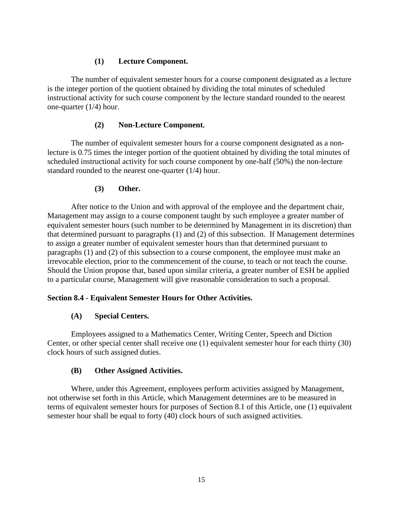## **(1) Lecture Component.**

The number of equivalent semester hours for a course component designated as a lecture is the integer portion of the quotient obtained by dividing the total minutes of scheduled instructional activity for such course component by the lecture standard rounded to the nearest one-quarter (1/4) hour.

## **(2) Non-Lecture Component.**

The number of equivalent semester hours for a course component designated as a nonlecture is 0.75 times the integer portion of the quotient obtained by dividing the total minutes of scheduled instructional activity for such course component by one-half (50%) the non-lecture standard rounded to the nearest one-quarter (1/4) hour.

## **(3) Other.**

After notice to the Union and with approval of the employee and the department chair, Management may assign to a course component taught by such employee a greater number of equivalent semester hours (such number to be determined by Management in its discretion) than that determined pursuant to paragraphs (1) and (2) of this subsection. If Management determines to assign a greater number of equivalent semester hours than that determined pursuant to paragraphs (1) and (2) of this subsection to a course component, the employee must make an irrevocable election, prior to the commencement of the course, to teach or not teach the course. Should the Union propose that, based upon similar criteria, a greater number of ESH be applied to a particular course, Management will give reasonable consideration to such a proposal.

## **Section 8.4 - Equivalent Semester Hours for Other Activities.**

## **(A) Special Centers.**

Employees assigned to a Mathematics Center, Writing Center, Speech and Diction Center, or other special center shall receive one (1) equivalent semester hour for each thirty (30) clock hours of such assigned duties.

## **(B) Other Assigned Activities.**

Where, under this Agreement, employees perform activities assigned by Management, not otherwise set forth in this Article, which Management determines are to be measured in terms of equivalent semester hours for purposes of Section 8.1 of this Article, one (1) equivalent semester hour shall be equal to forty (40) clock hours of such assigned activities.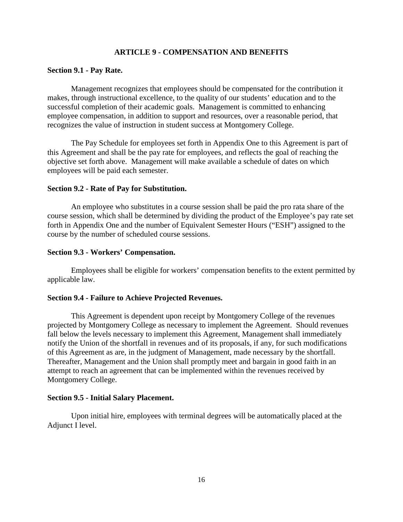#### **ARTICLE 9 - COMPENSATION AND BENEFITS**

#### **Section 9.1 - Pay Rate.**

Management recognizes that employees should be compensated for the contribution it makes, through instructional excellence, to the quality of our students' education and to the successful completion of their academic goals. Management is committed to enhancing employee compensation, in addition to support and resources, over a reasonable period, that recognizes the value of instruction in student success at Montgomery College.

The Pay Schedule for employees set forth in Appendix One to this Agreement is part of this Agreement and shall be the pay rate for employees, and reflects the goal of reaching the objective set forth above. Management will make available a schedule of dates on which employees will be paid each semester.

#### **Section 9.2 - Rate of Pay for Substitution.**

An employee who substitutes in a course session shall be paid the pro rata share of the course session, which shall be determined by dividing the product of the Employee's pay rate set forth in Appendix One and the number of Equivalent Semester Hours ("ESH") assigned to the course by the number of scheduled course sessions.

#### **Section 9.3 - Workers' Compensation.**

Employees shall be eligible for workers' compensation benefits to the extent permitted by applicable law.

#### **Section 9.4 - Failure to Achieve Projected Revenues.**

This Agreement is dependent upon receipt by Montgomery College of the revenues projected by Montgomery College as necessary to implement the Agreement. Should revenues fall below the levels necessary to implement this Agreement, Management shall immediately notify the Union of the shortfall in revenues and of its proposals, if any, for such modifications of this Agreement as are, in the judgment of Management, made necessary by the shortfall. Thereafter, Management and the Union shall promptly meet and bargain in good faith in an attempt to reach an agreement that can be implemented within the revenues received by Montgomery College.

#### **Section 9.5 - Initial Salary Placement.**

Upon initial hire, employees with terminal degrees will be automatically placed at the Adjunct I level.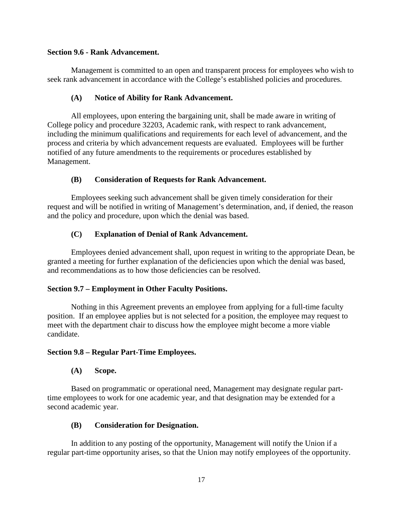### **Section 9.6 - Rank Advancement.**

Management is committed to an open and transparent process for employees who wish to seek rank advancement in accordance with the College's established policies and procedures.

### **(A) Notice of Ability for Rank Advancement.**

All employees, upon entering the bargaining unit, shall be made aware in writing of College policy and procedure 32203, Academic rank, with respect to rank advancement, including the minimum qualifications and requirements for each level of advancement, and the process and criteria by which advancement requests are evaluated. Employees will be further notified of any future amendments to the requirements or procedures established by Management.

### **(B) Consideration of Requests for Rank Advancement.**

Employees seeking such advancement shall be given timely consideration for their request and will be notified in writing of Management's determination, and, if denied, the reason and the policy and procedure, upon which the denial was based.

### **(C) Explanation of Denial of Rank Advancement.**

Employees denied advancement shall, upon request in writing to the appropriate Dean, be granted a meeting for further explanation of the deficiencies upon which the denial was based, and recommendations as to how those deficiencies can be resolved.

### **Section 9.7 – Employment in Other Faculty Positions.**

Nothing in this Agreement prevents an employee from applying for a full-time faculty position. If an employee applies but is not selected for a position, the employee may request to meet with the department chair to discuss how the employee might become a more viable candidate.

### **Section 9.8 – Regular Part-Time Employees.**

### **(A) Scope.**

Based on programmatic or operational need, Management may designate regular parttime employees to work for one academic year, and that designation may be extended for a second academic year.

#### **(B) Consideration for Designation.**

In addition to any posting of the opportunity, Management will notify the Union if a regular part-time opportunity arises, so that the Union may notify employees of the opportunity.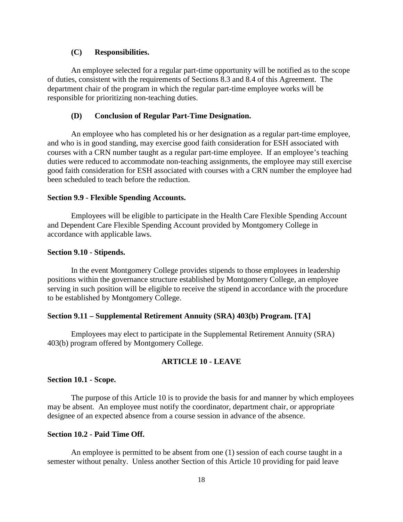## **(C) Responsibilities.**

An employee selected for a regular part-time opportunity will be notified as to the scope of duties, consistent with the requirements of Sections 8.3 and 8.4 of this Agreement. The department chair of the program in which the regular part-time employee works will be responsible for prioritizing non-teaching duties.

### **(D) Conclusion of Regular Part-Time Designation.**

An employee who has completed his or her designation as a regular part-time employee, and who is in good standing, may exercise good faith consideration for ESH associated with courses with a CRN number taught as a regular part-time employee. If an employee's teaching duties were reduced to accommodate non-teaching assignments, the employee may still exercise good faith consideration for ESH associated with courses with a CRN number the employee had been scheduled to teach before the reduction.

#### **Section 9.9 - Flexible Spending Accounts.**

Employees will be eligible to participate in the Health Care Flexible Spending Account and Dependent Care Flexible Spending Account provided by Montgomery College in accordance with applicable laws.

#### **Section 9.10 - Stipends.**

In the event Montgomery College provides stipends to those employees in leadership positions within the governance structure established by Montgomery College, an employee serving in such position will be eligible to receive the stipend in accordance with the procedure to be established by Montgomery College.

## **Section 9.11 – Supplemental Retirement Annuity (SRA) 403(b) Program. [TA]**

Employees may elect to participate in the Supplemental Retirement Annuity (SRA) 403(b) program offered by Montgomery College.

### **ARTICLE 10 - LEAVE**

#### **Section 10.1 - Scope.**

The purpose of this Article 10 is to provide the basis for and manner by which employees may be absent. An employee must notify the coordinator, department chair, or appropriate designee of an expected absence from a course session in advance of the absence.

### **Section 10.2 - Paid Time Off.**

An employee is permitted to be absent from one (1) session of each course taught in a semester without penalty. Unless another Section of this Article 10 providing for paid leave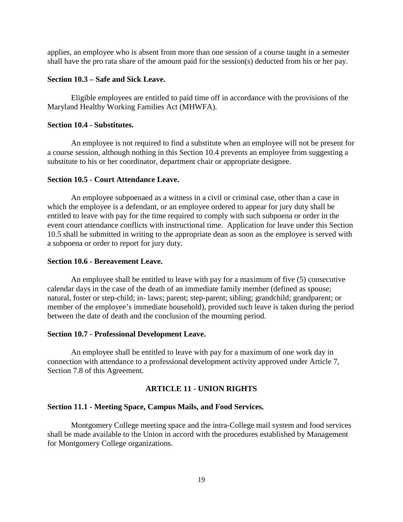applies, an employee who is absent from more than one session of a course taught in a semester shall have the pro rata share of the amount paid for the session(s) deducted from his or her pay.

### **Section 10.3 – Safe and Sick Leave.**

Eligible employees are entitled to paid time off in accordance with the provisions of the Maryland Healthy Working Families Act (MHWFA).

#### **Section 10.4 - Substitutes.**

An employee is not required to find a substitute when an employee will not be present for a course session, although nothing in this Section 10.4 prevents an employee from suggesting a substitute to his or her coordinator, department chair or appropriate designee.

#### **Section 10.5 - Court Attendance Leave.**

An employee subpoenaed as a witness in a civil or criminal case, other than a case in which the employee is a defendant, or an employee ordered to appear for jury duty shall be entitled to leave with pay for the time required to comply with such subpoena or order in the event court attendance conflicts with instructional time. Application for leave under this Section 10.5 shall be submitted in writing to the appropriate dean as soon as the employee is served with a subpoena or order to report for jury duty.

#### **Section 10.6 - Bereavement Leave.**

An employee shall be entitled to leave with pay for a maximum of five (5) consecutive calendar days in the case of the death of an immediate family member (defined as spouse; natural, foster or step-child; in- laws; parent; step-parent; sibling; grandchild; grandparent; or member of the employee's immediate household), provided such leave is taken during the period between the date of death and the conclusion of the mourning period.

### **Section 10.7 - Professional Development Leave.**

An employee shall be entitled to leave with pay for a maximum of one work day in connection with attendance to a professional development activity approved under Article 7, Section 7.8 of this Agreement.

#### **ARTICLE 11 - UNION RIGHTS**

#### **Section 11.1 - Meeting Space, Campus Mails, and Food Services.**

Montgomery College meeting space and the intra-College mail system and food services shall be made available to the Union in accord with the procedures established by Management for Montgomery College organizations.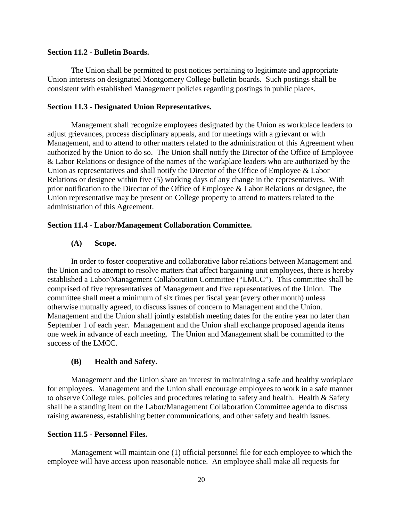### **Section 11.2 - Bulletin Boards.**

The Union shall be permitted to post notices pertaining to legitimate and appropriate Union interests on designated Montgomery College bulletin boards. Such postings shall be consistent with established Management policies regarding postings in public places.

#### **Section 11.3 - Designated Union Representatives.**

Management shall recognize employees designated by the Union as workplace leaders to adjust grievances, process disciplinary appeals, and for meetings with a grievant or with Management, and to attend to other matters related to the administration of this Agreement when authorized by the Union to do so. The Union shall notify the Director of the Office of Employee & Labor Relations or designee of the names of the workplace leaders who are authorized by the Union as representatives and shall notify the Director of the Office of Employee & Labor Relations or designee within five (5) working days of any change in the representatives. With prior notification to the Director of the Office of Employee & Labor Relations or designee, the Union representative may be present on College property to attend to matters related to the administration of this Agreement.

#### **Section 11.4 - Labor/Management Collaboration Committee.**

## **(A) Scope.**

In order to foster cooperative and collaborative labor relations between Management and the Union and to attempt to resolve matters that affect bargaining unit employees, there is hereby established a Labor/Management Collaboration Committee ("LMCC"). This committee shall be comprised of five representatives of Management and five representatives of the Union. The committee shall meet a minimum of six times per fiscal year (every other month) unless otherwise mutually agreed, to discuss issues of concern to Management and the Union. Management and the Union shall jointly establish meeting dates for the entire year no later than September 1 of each year. Management and the Union shall exchange proposed agenda items one week in advance of each meeting. The Union and Management shall be committed to the success of the LMCC.

#### **(B) Health and Safety.**

Management and the Union share an interest in maintaining a safe and healthy workplace for employees. Management and the Union shall encourage employees to work in a safe manner to observe College rules, policies and procedures relating to safety and health. Health & Safety shall be a standing item on the Labor/Management Collaboration Committee agenda to discuss raising awareness, establishing better communications, and other safety and health issues.

#### **Section 11.5 - Personnel Files.**

Management will maintain one (1) official personnel file for each employee to which the employee will have access upon reasonable notice. An employee shall make all requests for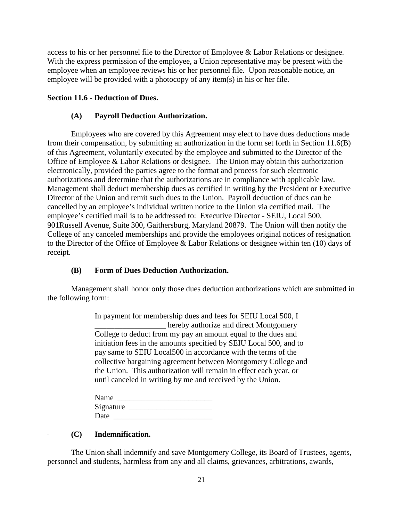access to his or her personnel file to the Director of Employee & Labor Relations or designee. With the express permission of the employee, a Union representative may be present with the employee when an employee reviews his or her personnel file. Upon reasonable notice, an employee will be provided with a photocopy of any item(s) in his or her file.

### **Section 11.6 - Deduction of Dues.**

### **(A) Payroll Deduction Authorization.**

Employees who are covered by this Agreement may elect to have dues deductions made from their compensation, by submitting an authorization in the form set forth in Section 11.6(B) of this Agreement, voluntarily executed by the employee and submitted to the Director of the Office of Employee & Labor Relations or designee. The Union may obtain this authorization electronically, provided the parties agree to the format and process for such electronic authorizations and determine that the authorizations are in compliance with applicable law. Management shall deduct membership dues as certified in writing by the President or Executive Director of the Union and remit such dues to the Union. Payroll deduction of dues can be cancelled by an employee's individual written notice to the Union via certified mail. The employee's certified mail is to be addressed to: Executive Director - SEIU, Local 500, 901Russell Avenue, Suite 300, Gaithersburg, Maryland 20879. The Union will then notify the College of any canceled memberships and provide the employees original notices of resignation to the Director of the Office of Employee & Labor Relations or designee within ten (10) days of receipt.

## **(B) Form of Dues Deduction Authorization.**

Management shall honor only those dues deduction authorizations which are submitted in the following form:

> In payment for membership dues and fees for SEIU Local 500, I \_\_\_\_\_\_\_\_\_\_\_\_\_\_\_\_\_\_ hereby authorize and direct Montgomery College to deduct from my pay an amount equal to the dues and initiation fees in the amounts specified by SEIU Local 500, and to pay same to SEIU Local500 in accordance with the terms of the collective bargaining agreement between Montgomery College and the Union. This authorization will remain in effect each year, or until canceled in writing by me and received by the Union.

| Name      |  |
|-----------|--|
| Signature |  |
| Date      |  |

### **(C) Indemnification.**

The Union shall indemnify and save Montgomery College, its Board of Trustees, agents, personnel and students, harmless from any and all claims, grievances, arbitrations, awards,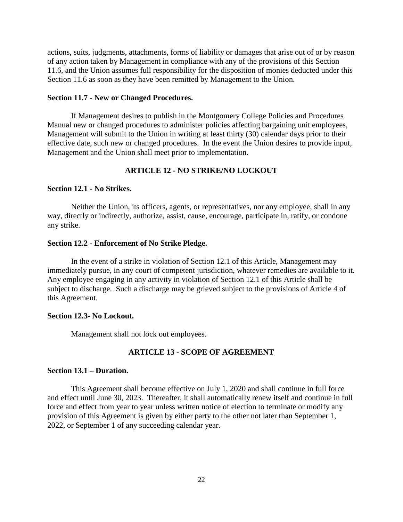actions, suits, judgments, attachments, forms of liability or damages that arise out of or by reason of any action taken by Management in compliance with any of the provisions of this Section 11.6, and the Union assumes full responsibility for the disposition of monies deducted under this Section 11.6 as soon as they have been remitted by Management to the Union.

#### **Section 11.7 - New or Changed Procedures.**

If Management desires to publish in the Montgomery College Policies and Procedures Manual new or changed procedures to administer policies affecting bargaining unit employees, Management will submit to the Union in writing at least thirty (30) calendar days prior to their effective date, such new or changed procedures. In the event the Union desires to provide input, Management and the Union shall meet prior to implementation.

## **ARTICLE 12 - NO STRIKE/NO LOCKOUT**

### **Section 12.1 - No Strikes.**

Neither the Union, its officers, agents, or representatives, nor any employee, shall in any way, directly or indirectly, authorize, assist, cause, encourage, participate in, ratify, or condone any strike.

#### **Section 12.2 - Enforcement of No Strike Pledge.**

In the event of a strike in violation of Section 12.1 of this Article, Management may immediately pursue, in any court of competent jurisdiction, whatever remedies are available to it. Any employee engaging in any activity in violation of Section 12.1 of this Article shall be subject to discharge. Such a discharge may be grieved subject to the provisions of Article 4 of this Agreement.

### **Section 12.3- No Lockout.**

Management shall not lock out employees.

### **ARTICLE 13 - SCOPE OF AGREEMENT**

### **Section 13.1 – Duration.**

This Agreement shall become effective on July 1, 2020 and shall continue in full force and effect until June 30, 2023. Thereafter, it shall automatically renew itself and continue in full force and effect from year to year unless written notice of election to terminate or modify any provision of this Agreement is given by either party to the other not later than September 1, 2022, or September 1 of any succeeding calendar year.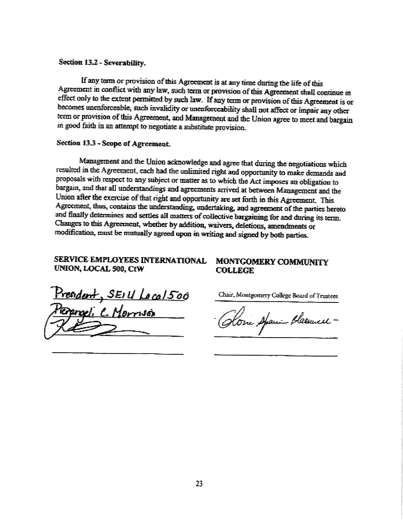### Section 13.2 - Severability.

If any term or provision of this Agreement is at any time during the life of this Agreement in conflict with any law, such term or provision of this Agreement shall continue in effect only to the extent permitted by such law. If any term or provision of this Agreement is or becomes unenforceable, such invalidity or unenforceability shall not affect or impair any other term or provision of this Agreement, and Management and the Union agree to meet and bargain in good faith in an attempt to negotiate a substitute provision.

## Section 13.3 - Scope of Agreement.

Management and the Union acknowledge and agree that during the negotiations which resulted in the Agreement, each had the unlimited right and opportunity to make demands and proposals with respect to any subject or matter as to which the Act imposes an obligation to bargain, and that all understandings and agreements arrived at between Management and the Union after the exercise of that right and opportunity are set forth in this Agreement. This Agreement, thus, contains the understanding, undertaking, and agreement of the parties hereto and finally determines and settles all matters of collective bargaining for and during its term. Changes to this Agreement, whether by addition, waivers, defetions, amendments or modification, must be mutually agreed upon in writing and signed by both parties.

## SERVICE EMPLOYEES INTERNATIONAL UNION, LOCAL 500, CtW

readent, SEIU Local500 raeli C. Morrusi

**MONTGOMERY COMMUNITY COLLEGE** 

Chair, Montgomery College Board of Trustees

Home Apari Plasmell